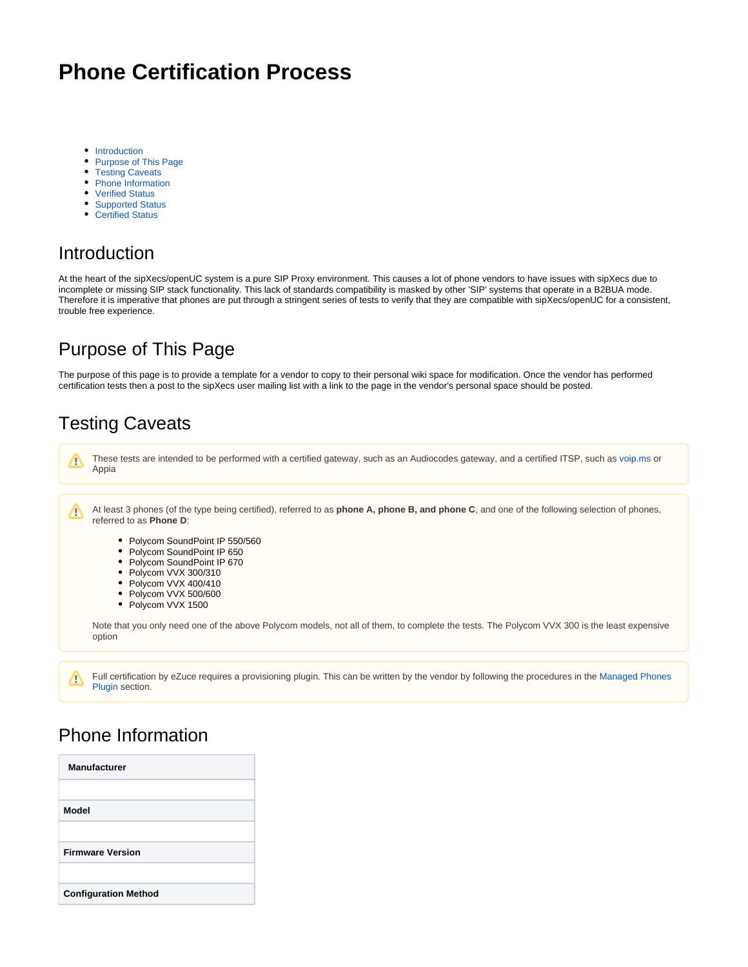# **Phone Certification Process**

- [Introduction](#page-0-0)
- [Purpose of This Page](#page-0-1)
- $\bullet$ [Testing Caveats](#page-0-2)
- [Phone Information](#page-0-3)
- [Verified Status](#page-1-0)
- [Supported Status](#page-5-0)
- **[Certified Status](#page-5-1)**

#### <span id="page-0-0"></span>Introduction

At the heart of the sipXecs/openUC system is a pure SIP Proxy environment. This causes a lot of phone vendors to have issues with sipXecs due to incomplete or missing SIP stack functionality. This lack of standards compatibility is masked by other 'SIP' systems that operate in a B2BUA mode. Therefore it is imperative that phones are put through a stringent series of tests to verify that they are compatible with sipXecs/openUC for a consistent, trouble free experience.

### <span id="page-0-1"></span>Purpose of This Page

The purpose of this page is to provide a template for a vendor to copy to their personal wiki space for modification. Once the vendor has performed certification tests then a post to the sipXecs user mailing list with a link to the page in the vendor's personal space should be posted.

### <span id="page-0-2"></span>Testing Caveats

Δ

Δ

These tests are intended to be performed with a certified gateway, such as an Audiocodes gateway, and a certified ITSP, such as [voip.ms](http://voip.ms) or Appia

At least 3 phones (of the type being certified), referred to as **phone A, phone B, and phone C**, and one of the following selection of phones, ╱╲ referred to as **Phone D**:

- Polycom SoundPoint IP 550/560
- Polycom SoundPoint IP 650  $\bullet$
- Polycom SoundPoint IP 670
- Polycom VVX 300/310
- Polycom VVX 400/410
- Polycom VVX 500/600
- $\bullet$ Polycom VVX 1500

Note that you only need one of the above Polycom models, not all of them, to complete the tests. The Polycom VVX 300 is the least expensive option

Full certification by eZuce requires a provisioning plugin. This can be written by the vendor by following the procedures in the [Managed Phones](https://wiki.ezuce.com/display/sipXcom/Managed+Phones+Plugin)  [Plugin](https://wiki.ezuce.com/display/sipXcom/Managed+Phones+Plugin) section.

#### <span id="page-0-3"></span>Phone Information

| <b>Manufacturer</b>         |  |
|-----------------------------|--|
|                             |  |
| Model                       |  |
|                             |  |
| <b>Firmware Version</b>     |  |
|                             |  |
| <b>Configuration Method</b> |  |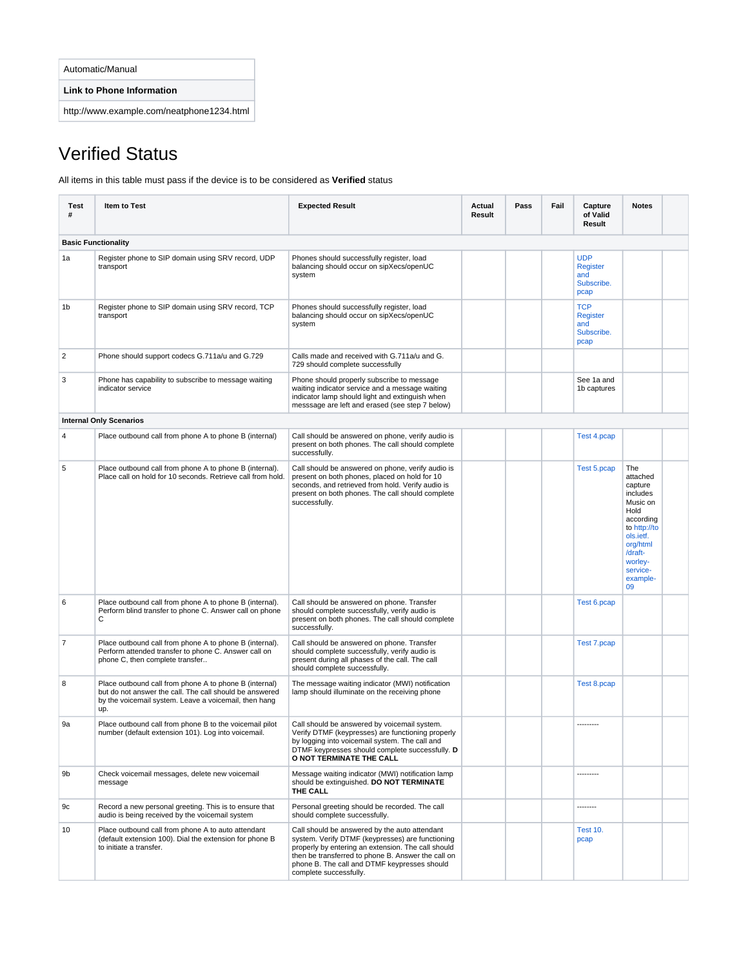| Automatic/Manual |
|------------------|
|------------------|

**Link to Phone Information**

http://www.example.com/neatphone1234.html

# <span id="page-1-0"></span>Verified Status

All items in this table must pass if the device is to be considered as **Verified** status

| Test<br>#      | <b>Item to Test</b>                                                                                                                                                               | <b>Expected Result</b>                                                                                                                                                                                                                                                                  | Actual<br>Result | Pass | Fail | Capture<br>of Valid<br>Result                              | <b>Notes</b>                                                                                                                                                         |  |
|----------------|-----------------------------------------------------------------------------------------------------------------------------------------------------------------------------------|-----------------------------------------------------------------------------------------------------------------------------------------------------------------------------------------------------------------------------------------------------------------------------------------|------------------|------|------|------------------------------------------------------------|----------------------------------------------------------------------------------------------------------------------------------------------------------------------|--|
|                | <b>Basic Functionality</b>                                                                                                                                                        |                                                                                                                                                                                                                                                                                         |                  |      |      |                                                            |                                                                                                                                                                      |  |
| 1a             | Register phone to SIP domain using SRV record, UDP<br>transport                                                                                                                   | Phones should successfully register, load<br>balancing should occur on sipXecs/openUC<br>system                                                                                                                                                                                         |                  |      |      | <b>UDP</b><br><b>Register</b><br>and<br>Subscribe.<br>pcap |                                                                                                                                                                      |  |
| 1b             | Register phone to SIP domain using SRV record, TCP<br>transport                                                                                                                   | Phones should successfully register, load<br>balancing should occur on sipXecs/openUC<br>system                                                                                                                                                                                         |                  |      |      | <b>TCP</b><br><b>Register</b><br>and<br>Subscribe.<br>pcap |                                                                                                                                                                      |  |
| $\overline{2}$ | Phone should support codecs G.711a/u and G.729                                                                                                                                    | Calls made and received with G.711a/u and G.<br>729 should complete successfully                                                                                                                                                                                                        |                  |      |      |                                                            |                                                                                                                                                                      |  |
| 3              | Phone has capability to subscribe to message waiting<br>indicator service                                                                                                         | Phone should properly subscribe to message<br>waiting indicator service and a message waiting<br>indicator lamp should light and extinguish when<br>messsage are left and erased (see step 7 below)                                                                                     |                  |      |      | See 1a and<br>1b captures                                  |                                                                                                                                                                      |  |
|                | <b>Internal Only Scenarios</b>                                                                                                                                                    |                                                                                                                                                                                                                                                                                         |                  |      |      |                                                            |                                                                                                                                                                      |  |
| $\overline{4}$ | Place outbound call from phone A to phone B (internal)                                                                                                                            | Call should be answered on phone, verify audio is<br>present on both phones. The call should complete<br>successfully.                                                                                                                                                                  |                  |      |      | Test 4.pcap                                                |                                                                                                                                                                      |  |
| 5              | Place outbound call from phone A to phone B (internal).<br>Place call on hold for 10 seconds. Retrieve call from hold.                                                            | Call should be answered on phone, verify audio is<br>present on both phones, placed on hold for 10<br>seconds, and retrieved from hold. Verify audio is<br>present on both phones. The call should complete<br>successfully.                                                            |                  |      |      | Test 5.pcap                                                | The<br>attached<br>capture<br>includes<br>Music on<br>Hold<br>according<br>to http://to<br>ols.ietf.<br>org/html<br>/draft-<br>worley-<br>service-<br>example-<br>09 |  |
| 6              | Place outbound call from phone A to phone B (internal).<br>Perform blind transfer to phone C. Answer call on phone<br>C                                                           | Call should be answered on phone. Transfer<br>should complete successfully, verify audio is<br>present on both phones. The call should complete<br>successfully.                                                                                                                        |                  |      |      | Test 6.pcap                                                |                                                                                                                                                                      |  |
| 7              | Place outbound call from phone A to phone B (internal).<br>Perform attended transfer to phone C. Answer call on<br>phone C, then complete transfer                                | Call should be answered on phone. Transfer<br>should complete successfully, verify audio is<br>present during all phases of the call. The call<br>should complete successfully.                                                                                                         |                  |      |      | Test 7.pcap                                                |                                                                                                                                                                      |  |
| 8              | Place outbound call from phone A to phone B (internal)<br>but do not answer the call. The call should be answered<br>by the voicemail system. Leave a voicemail, then hang<br>up. | The message waiting indicator (MWI) notification<br>lamp should illuminate on the receiving phone                                                                                                                                                                                       |                  |      |      | Test 8.pcap                                                |                                                                                                                                                                      |  |
| 9a             | Place outbound call from phone B to the voicemail pilot<br>number (default extension 101). Log into voicemail.                                                                    | Call should be answered by voicemail system.<br>Verify DTMF (keypresses) are functioning properly<br>by logging into voicemail system. The call and<br>DTMF keypresses should complete successfully. D<br>O NOT TERMINATE THE CALL                                                      |                  |      |      | ---------                                                  |                                                                                                                                                                      |  |
| 9b             | Check voicemail messages, delete new voicemail<br>message                                                                                                                         | Message waiting indicator (MWI) notification lamp<br>should be extinguished. DO NOT TERMINATE<br>THE CALL                                                                                                                                                                               |                  |      |      | ---------                                                  |                                                                                                                                                                      |  |
| 9c             | Record a new personal greeting. This is to ensure that<br>audio is being received by the voicemail system                                                                         | Personal greeting should be recorded. The call<br>should complete successfully.                                                                                                                                                                                                         |                  |      |      | --------                                                   |                                                                                                                                                                      |  |
| 10             | Place outbound call from phone A to auto attendant<br>(default extension 100). Dial the extension for phone B<br>to initiate a transfer.                                          | Call should be answered by the auto attendant<br>system. Verify DTMF (keypresses) are functioning<br>properly by entering an extension. The call should<br>then be transferred to phone B. Answer the call on<br>phone B. The call and DTMF keypresses should<br>complete successfully. |                  |      |      | <b>Test 10.</b><br>pcap                                    |                                                                                                                                                                      |  |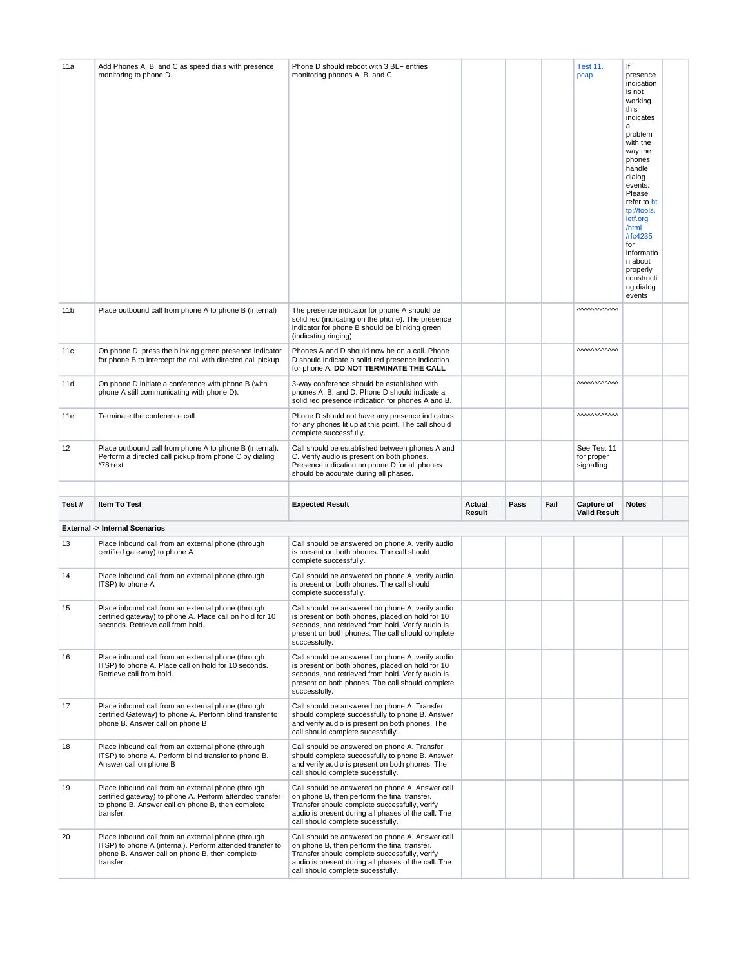| 11a             | Add Phones A, B, and C as speed dials with presence<br>monitoring to phone D.                                                                                                    | Phone D should reboot with 3 BLF entries<br>monitoring phones A, B, and C                                                                                                                                                                    |                  |      |      | <b>Test 11.</b><br>pcap                 | lf<br>presence<br>indication<br>is not<br>working<br>this<br>indicates<br>a<br>problem<br>with the<br>way the<br>phones<br>handle<br>dialog<br>events.<br>Please<br>refer to ht<br>tp://tools.<br>ietf.org<br>/html<br>/rfc4235<br>for<br>informatio<br>n about<br>properly<br>constructi<br>ng dialog<br>events |  |
|-----------------|----------------------------------------------------------------------------------------------------------------------------------------------------------------------------------|----------------------------------------------------------------------------------------------------------------------------------------------------------------------------------------------------------------------------------------------|------------------|------|------|-----------------------------------------|------------------------------------------------------------------------------------------------------------------------------------------------------------------------------------------------------------------------------------------------------------------------------------------------------------------|--|
| 11 <sub>b</sub> | Place outbound call from phone A to phone B (internal)                                                                                                                           | The presence indicator for phone A should be<br>solid red (indicating on the phone). The presence<br>indicator for phone B should be blinking green<br>(indicating ringing)                                                                  |                  |      |      | <i><b>MMMMMM</b></i>                    |                                                                                                                                                                                                                                                                                                                  |  |
| 11c             | On phone D, press the blinking green presence indicator<br>for phone B to intercept the call with directed call pickup                                                           | Phones A and D should now be on a call. Phone<br>D should indicate a solid red presence indication<br>for phone A. DO NOT TERMINATE THE CALL                                                                                                 |                  |      |      | <b>MMMMMM</b>                           |                                                                                                                                                                                                                                                                                                                  |  |
| 11d             | On phone D initiate a conference with phone B (with<br>phone A still communicating with phone D).                                                                                | 3-way conference should be established with<br>phones A, B, and D. Phone D should indicate a<br>solid red presence indication for phones A and B.                                                                                            |                  |      |      | <b>MMMMMM</b>                           |                                                                                                                                                                                                                                                                                                                  |  |
| 11e             | Terminate the conference call                                                                                                                                                    | Phone D should not have any presence indicators<br>for any phones lit up at this point. The call should<br>complete successfully.                                                                                                            |                  |      |      | <b>MMMMMM</b>                           |                                                                                                                                                                                                                                                                                                                  |  |
| 12              | Place outbound call from phone A to phone B (internal).<br>Perform a directed call pickup from phone C by dialing<br>*78+ext                                                     | Call should be established between phones A and<br>C. Verify audio is present on both phones.<br>Presence indication on phone D for all phones<br>should be accurate during all phases.                                                      |                  |      |      | See Test 11<br>for proper<br>signalling |                                                                                                                                                                                                                                                                                                                  |  |
| Test#           | Item To Test                                                                                                                                                                     | <b>Expected Result</b>                                                                                                                                                                                                                       | Actual<br>Result | Pass | Fail | Capture of<br><b>Valid Result</b>       | <b>Notes</b>                                                                                                                                                                                                                                                                                                     |  |
|                 | <b>External -&gt; Internal Scenarios</b>                                                                                                                                         |                                                                                                                                                                                                                                              |                  |      |      |                                         |                                                                                                                                                                                                                                                                                                                  |  |
| 13              | Place inbound call from an external phone (through<br>certified gateway) to phone A                                                                                              | Call should be answered on phone A, verify audio<br>is present on both phones. The call should<br>complete successfully.                                                                                                                     |                  |      |      |                                         |                                                                                                                                                                                                                                                                                                                  |  |
| 14              | Place inbound call from an external phone (through<br>ITSP) to phone A                                                                                                           | Call should be answered on phone A, verify audio<br>is present on both phones. The call should<br>complete successfully.                                                                                                                     |                  |      |      |                                         |                                                                                                                                                                                                                                                                                                                  |  |
| 15              | Place inbound call from an external phone (through<br>certified gateway) to phone A. Place call on hold for 10<br>seconds. Retrieve call from hold.                              | Call should be answered on phone A, verify audio<br>is present on both phones, placed on hold for 10<br>seconds, and retrieved from hold. Verify audio is<br>present on both phones. The call should complete<br>successfully.               |                  |      |      |                                         |                                                                                                                                                                                                                                                                                                                  |  |
| 16              | Place inbound call from an external phone (through<br>ITSP) to phone A. Place call on hold for 10 seconds.<br>Retrieve call from hold.                                           | Call should be answered on phone A, verify audio<br>is present on both phones, placed on hold for 10<br>seconds, and retrieved from hold. Verify audio is<br>present on both phones. The call should complete<br>successfully.               |                  |      |      |                                         |                                                                                                                                                                                                                                                                                                                  |  |
| 17              | Place inbound call from an external phone (through<br>certified Gateway) to phone A. Perform blind transfer to<br>phone B. Answer call on phone B                                | Call should be answered on phone A. Transfer<br>should complete successfully to phone B. Answer<br>and verify audio is present on both phones. The<br>call should complete sucessfully.                                                      |                  |      |      |                                         |                                                                                                                                                                                                                                                                                                                  |  |
| 18              | Place inbound call from an external phone (through<br>ITSP) to phone A. Perform blind transfer to phone B.<br>Answer call on phone B                                             | Call should be answered on phone A. Transfer<br>should complete successfully to phone B. Answer<br>and verify audio is present on both phones. The<br>call should complete sucessfully.                                                      |                  |      |      |                                         |                                                                                                                                                                                                                                                                                                                  |  |
| 19              | Place inbound call from an external phone (through<br>certified gateway) to phone A. Perform attended transfer<br>to phone B. Answer call on phone B, then complete<br>transfer. | Call should be answered on phone A. Answer call<br>on phone B, then perform the final transfer.<br>Transfer should complete successfully, verify<br>audio is present during all phases of the call. The<br>call should complete sucessfully. |                  |      |      |                                         |                                                                                                                                                                                                                                                                                                                  |  |
| 20              | Place inbound call from an external phone (through<br>ITSP) to phone A (internal). Perform attended transfer to<br>phone B. Answer call on phone B, then complete<br>transfer.   | Call should be answered on phone A. Answer call<br>on phone B, then perform the final transfer.<br>Transfer should complete successfully, verify<br>audio is present during all phases of the call. The<br>call should complete sucessfully. |                  |      |      |                                         |                                                                                                                                                                                                                                                                                                                  |  |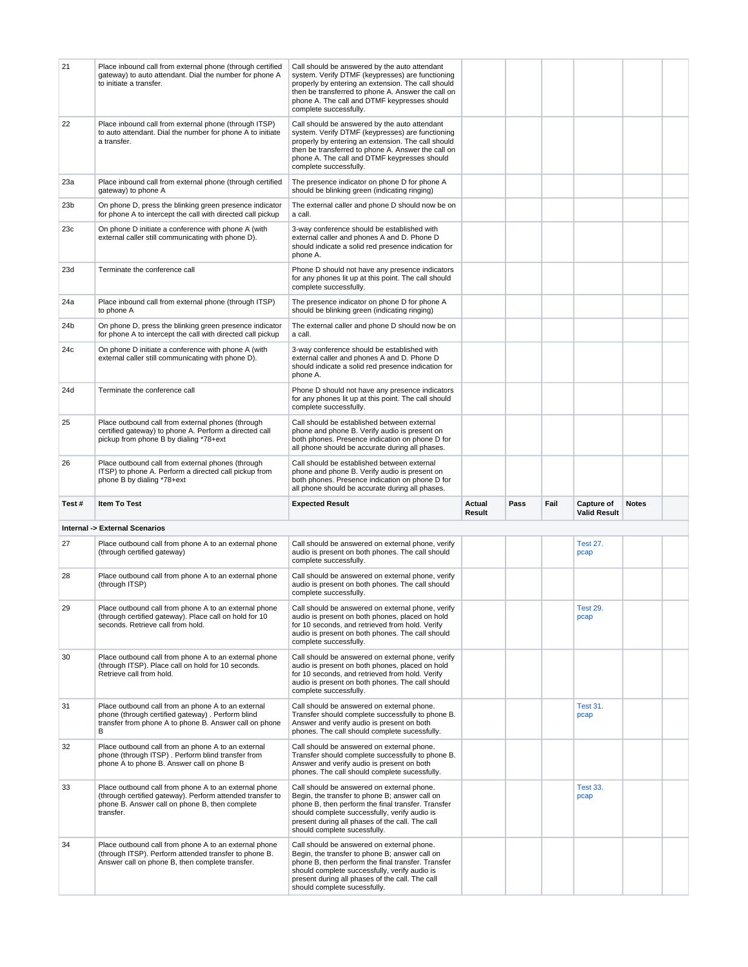| 21              | Place inbound call from external phone (through certified<br>gateway) to auto attendant. Dial the number for phone A<br>to initiate a transfer.                                   | Call should be answered by the auto attendant<br>system. Verify DTMF (keypresses) are functioning<br>properly by entering an extension. The call should<br>then be transferred to phone A. Answer the call on<br>phone A. The call and DTMF keypresses should<br>complete successfully. |                  |      |      |                                   |              |  |
|-----------------|-----------------------------------------------------------------------------------------------------------------------------------------------------------------------------------|-----------------------------------------------------------------------------------------------------------------------------------------------------------------------------------------------------------------------------------------------------------------------------------------|------------------|------|------|-----------------------------------|--------------|--|
| 22              | Place inbound call from external phone (through ITSP)<br>to auto attendant. Dial the number for phone A to initiate<br>a transfer.                                                | Call should be answered by the auto attendant<br>system. Verify DTMF (keypresses) are functioning<br>properly by entering an extension. The call should<br>then be transferred to phone A. Answer the call on<br>phone A. The call and DTMF keypresses should<br>complete successfully. |                  |      |      |                                   |              |  |
| 23а             | Place inbound call from external phone (through certified<br>gateway) to phone A                                                                                                  | The presence indicator on phone D for phone A<br>should be blinking green (indicating ringing)                                                                                                                                                                                          |                  |      |      |                                   |              |  |
| 23 <sub>b</sub> | On phone D, press the blinking green presence indicator<br>for phone A to intercept the call with directed call pickup                                                            | The external caller and phone D should now be on<br>a call.                                                                                                                                                                                                                             |                  |      |      |                                   |              |  |
| 23c             | On phone D initiate a conference with phone A (with<br>external caller still communicating with phone D).                                                                         | 3-way conference should be established with<br>external caller and phones A and D. Phone D<br>should indicate a solid red presence indication for<br>phone A.                                                                                                                           |                  |      |      |                                   |              |  |
| 23d             | Terminate the conference call                                                                                                                                                     | Phone D should not have any presence indicators<br>for any phones lit up at this point. The call should<br>complete successfully.                                                                                                                                                       |                  |      |      |                                   |              |  |
| 24a             | Place inbound call from external phone (through ITSP)<br>to phone A                                                                                                               | The presence indicator on phone D for phone A<br>should be blinking green (indicating ringing)                                                                                                                                                                                          |                  |      |      |                                   |              |  |
| 24b             | On phone D, press the blinking green presence indicator<br>for phone A to intercept the call with directed call pickup                                                            | The external caller and phone D should now be on<br>a call.                                                                                                                                                                                                                             |                  |      |      |                                   |              |  |
| 24c             | On phone D initiate a conference with phone A (with<br>external caller still communicating with phone D).                                                                         | 3-way conference should be established with<br>external caller and phones A and D. Phone D<br>should indicate a solid red presence indication for<br>phone A.                                                                                                                           |                  |      |      |                                   |              |  |
| 24d             | Terminate the conference call                                                                                                                                                     | Phone D should not have any presence indicators<br>for any phones lit up at this point. The call should<br>complete successfully.                                                                                                                                                       |                  |      |      |                                   |              |  |
| 25              | Place outbound call from external phones (through<br>certified gateway) to phone A. Perform a directed call<br>pickup from phone B by dialing *78+ext                             | Call should be established between external<br>phone and phone B. Verify audio is present on<br>both phones. Presence indication on phone D for<br>all phone should be accurate during all phases.                                                                                      |                  |      |      |                                   |              |  |
| 26              | Place outbound call from external phones (through<br>ITSP) to phone A. Perform a directed call pickup from                                                                        | Call should be established between external<br>phone and phone B. Verify audio is present on                                                                                                                                                                                            |                  |      |      |                                   |              |  |
|                 | phone B by dialing *78+ext                                                                                                                                                        | both phones. Presence indication on phone D for<br>all phone should be accurate during all phases.                                                                                                                                                                                      |                  |      |      |                                   |              |  |
| Test#           | Item To Test                                                                                                                                                                      | <b>Expected Result</b>                                                                                                                                                                                                                                                                  | Actual<br>Result | Pass | Fail | Capture of<br><b>Valid Result</b> | <b>Notes</b> |  |
|                 | Internal -> External Scenarios                                                                                                                                                    |                                                                                                                                                                                                                                                                                         |                  |      |      |                                   |              |  |
| 27              | Place outbound call from phone A to an external phone<br>(through certified gateway)                                                                                              | Call should be answered on external phone, verify<br>audio is present on both phones. The call should<br>complete successfully.                                                                                                                                                         |                  |      |      | <b>Test 27.</b><br>pcap           |              |  |
| 28              | Place outbound call from phone A to an external phone<br>(through ITSP)                                                                                                           | Call should be answered on external phone, verify<br>audio is present on both phones. The call should<br>complete successfully.                                                                                                                                                         |                  |      |      |                                   |              |  |
| 29              | Place outbound call from phone A to an external phone<br>(through certified gateway). Place call on hold for 10<br>seconds. Retrieve call from hold.                              | Call should be answered on external phone, verify<br>audio is present on both phones, placed on hold<br>for 10 seconds, and retrieved from hold. Verify<br>audio is present on both phones. The call should<br>complete successfully.                                                   |                  |      |      | Test 29.<br>pcap                  |              |  |
| 30              | Place outbound call from phone A to an external phone<br>(through ITSP). Place call on hold for 10 seconds.<br>Retrieve call from hold.                                           | Call should be answered on external phone, verify<br>audio is present on both phones, placed on hold<br>for 10 seconds, and retrieved from hold. Verify<br>audio is present on both phones. The call should<br>complete successfully.                                                   |                  |      |      |                                   |              |  |
| 31              | Place outbound call from an phone A to an external<br>phone (through certified gateway). Perform blind<br>transfer from phone A to phone B. Answer call on phone<br>B             | Call should be answered on external phone.<br>Transfer should complete successfully to phone B.<br>Answer and verify audio is present on both<br>phones. The call should complete sucessfully.                                                                                          |                  |      |      | <b>Test 31.</b><br>pcap           |              |  |
| 32              | Place outbound call from an phone A to an external<br>phone (through ITSP). Perform blind transfer from<br>phone A to phone B. Answer call on phone B                             | Call should be answered on external phone.<br>Transfer should complete successfully to phone B.<br>Answer and verify audio is present on both<br>phones. The call should complete sucessfully.                                                                                          |                  |      |      |                                   |              |  |
| 33              | Place outbound call from phone A to an external phone<br>(through certified gateway). Perform attended transfer to<br>phone B. Answer call on phone B, then complete<br>transfer. | Call should be answered on external phone.<br>Begin, the transfer to phone B; answer call on<br>phone B, then perform the final transfer. Transfer<br>should complete successfully, verify audio is<br>present during all phases of the call. The call<br>should complete sucessfully.  |                  |      |      | <b>Test 33.</b><br>pcap           |              |  |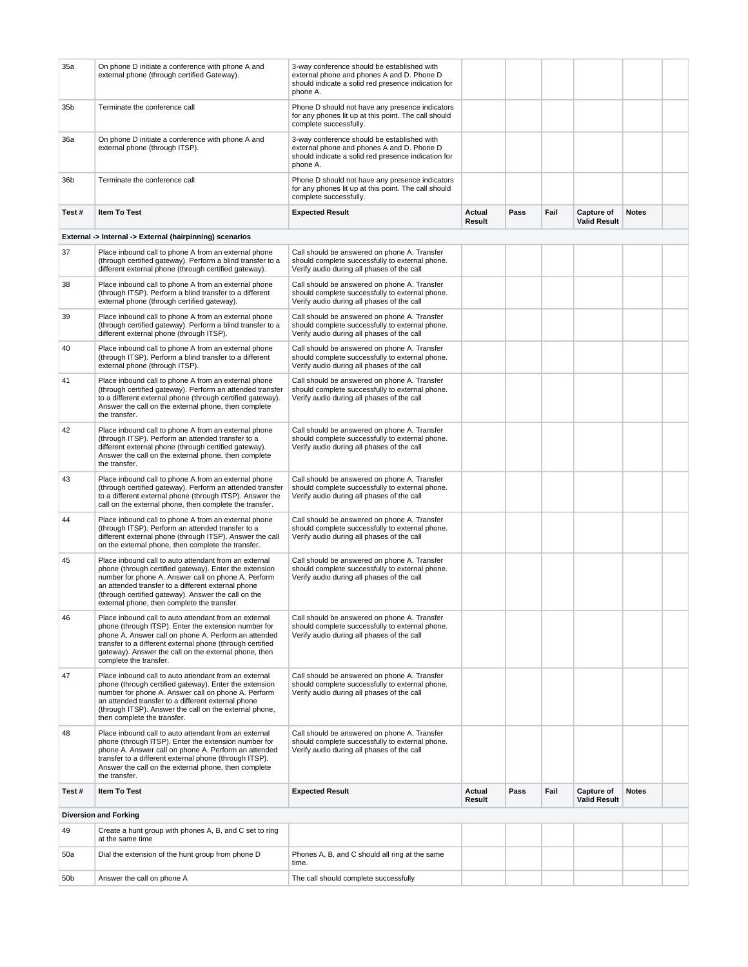| 35a   | On phone D initiate a conference with phone A and<br>external phone (through certified Gateway).                                                                                                                                                                                                                                   | 3-way conference should be established with<br>external phone and phones A and D. Phone D<br>should indicate a solid red presence indication for<br>phone A. |                  |      |      |                                          |              |  |
|-------|------------------------------------------------------------------------------------------------------------------------------------------------------------------------------------------------------------------------------------------------------------------------------------------------------------------------------------|--------------------------------------------------------------------------------------------------------------------------------------------------------------|------------------|------|------|------------------------------------------|--------------|--|
| 35b   | Terminate the conference call                                                                                                                                                                                                                                                                                                      | Phone D should not have any presence indicators<br>for any phones lit up at this point. The call should<br>complete successfully.                            |                  |      |      |                                          |              |  |
| 36a   | On phone D initiate a conference with phone A and<br>external phone (through ITSP).                                                                                                                                                                                                                                                | 3-way conference should be established with<br>external phone and phones A and D. Phone D<br>should indicate a solid red presence indication for<br>phone A. |                  |      |      |                                          |              |  |
| 36b   | Terminate the conference call                                                                                                                                                                                                                                                                                                      | Phone D should not have any presence indicators<br>for any phones lit up at this point. The call should<br>complete successfully.                            |                  |      |      |                                          |              |  |
| Test# | <b>Item To Test</b>                                                                                                                                                                                                                                                                                                                | <b>Expected Result</b>                                                                                                                                       | Actual<br>Result | Pass | Fail | Capture of<br><b>Valid Result</b>        | <b>Notes</b> |  |
|       | External -> Internal -> External (hairpinning) scenarios                                                                                                                                                                                                                                                                           |                                                                                                                                                              |                  |      |      |                                          |              |  |
| 37    | Place inbound call to phone A from an external phone<br>(through certified gateway). Perform a blind transfer to a<br>different external phone (through certified gateway).                                                                                                                                                        | Call should be answered on phone A. Transfer<br>should complete successfully to external phone.<br>Verify audio during all phases of the call                |                  |      |      |                                          |              |  |
| 38    | Place inbound call to phone A from an external phone<br>(through ITSP). Perform a blind transfer to a different<br>external phone (through certified gateway).                                                                                                                                                                     | Call should be answered on phone A. Transfer<br>should complete successfully to external phone.<br>Verify audio during all phases of the call                |                  |      |      |                                          |              |  |
| 39    | Place inbound call to phone A from an external phone<br>(through certified gateway). Perform a blind transfer to a<br>different external phone (through ITSP).                                                                                                                                                                     | Call should be answered on phone A. Transfer<br>should complete successfully to external phone.<br>Verify audio during all phases of the call                |                  |      |      |                                          |              |  |
| 40    | Place inbound call to phone A from an external phone<br>(through ITSP). Perform a blind transfer to a different<br>external phone (through ITSP).                                                                                                                                                                                  | Call should be answered on phone A. Transfer<br>should complete successfully to external phone.<br>Verify audio during all phases of the call                |                  |      |      |                                          |              |  |
| 41    | Place inbound call to phone A from an external phone<br>(through certified gateway). Perform an attended transfer<br>to a different external phone (through certified gateway).<br>Answer the call on the external phone, then complete<br>the transfer.                                                                           | Call should be answered on phone A. Transfer<br>should complete successfully to external phone.<br>Verify audio during all phases of the call                |                  |      |      |                                          |              |  |
| 42    | Place inbound call to phone A from an external phone<br>(through ITSP). Perform an attended transfer to a<br>different external phone (through certified gateway).<br>Answer the call on the external phone, then complete<br>the transfer.                                                                                        | Call should be answered on phone A. Transfer<br>should complete successfully to external phone.<br>Verify audio during all phases of the call                |                  |      |      |                                          |              |  |
| 43    | Place inbound call to phone A from an external phone<br>(through certified gateway). Perform an attended transfer<br>to a different external phone (through ITSP). Answer the<br>call on the external phone, then complete the transfer.                                                                                           | Call should be answered on phone A. Transfer<br>should complete successfully to external phone.<br>Verify audio during all phases of the call                |                  |      |      |                                          |              |  |
| 44    | Place inbound call to phone A from an external phone<br>(through ITSP). Perform an attended transfer to a<br>different external phone (through ITSP). Answer the call<br>on the external phone, then complete the transfer.                                                                                                        | Call should be answered on phone A. Transfer<br>should complete successfully to external phone.<br>Verify audio during all phases of the call                |                  |      |      |                                          |              |  |
| 45    | Place inbound call to auto attendant from an external<br>phone (through certified gateway). Enter the extension<br>number for phone A. Answer call on phone A. Perform<br>an attended transfer to a different external phone<br>(through certified gateway). Answer the call on the<br>external phone, then complete the transfer. | Call should be answered on phone A. Transfer<br>should complete successfully to external phone.<br>Verify audio during all phases of the call                |                  |      |      |                                          |              |  |
| 46    | Place inbound call to auto attendant from an external<br>phone (through ITSP). Enter the extension number for<br>phone A. Answer call on phone A. Perform an attended<br>transfer to a different external phone (through certified<br>gateway). Answer the call on the external phone, then<br>complete the transfer.              | Call should be answered on phone A. Transfer<br>should complete successfully to external phone.<br>Verify audio during all phases of the call                |                  |      |      |                                          |              |  |
| 47    | Place inbound call to auto attendant from an external<br>phone (through certified gateway). Enter the extension<br>number for phone A. Answer call on phone A. Perform<br>an attended transfer to a different external phone<br>(through ITSP). Answer the call on the external phone,<br>then complete the transfer.              | Call should be answered on phone A. Transfer<br>should complete successfully to external phone.<br>Verify audio during all phases of the call                |                  |      |      |                                          |              |  |
| 48    | Place inbound call to auto attendant from an external<br>phone (through ITSP). Enter the extension number for<br>phone A. Answer call on phone A. Perform an attended<br>transfer to a different external phone (through ITSP).<br>Answer the call on the external phone, then complete<br>the transfer.                           | Call should be answered on phone A. Transfer<br>should complete successfully to external phone.<br>Verify audio during all phases of the call                |                  |      |      |                                          |              |  |
| Test# | <b>Item To Test</b>                                                                                                                                                                                                                                                                                                                | <b>Expected Result</b>                                                                                                                                       | Actual<br>Result | Pass | Fail | <b>Capture of</b><br><b>Valid Result</b> | <b>Notes</b> |  |
|       | <b>Diversion and Forking</b>                                                                                                                                                                                                                                                                                                       |                                                                                                                                                              |                  |      |      |                                          |              |  |
| 49    | Create a hunt group with phones A, B, and C set to ring<br>at the same time                                                                                                                                                                                                                                                        |                                                                                                                                                              |                  |      |      |                                          |              |  |
| 50a   | Dial the extension of the hunt group from phone D                                                                                                                                                                                                                                                                                  | Phones A, B, and C should all ring at the same<br>time.                                                                                                      |                  |      |      |                                          |              |  |
| 50b   | Answer the call on phone A                                                                                                                                                                                                                                                                                                         | The call should complete successfully                                                                                                                        |                  |      |      |                                          |              |  |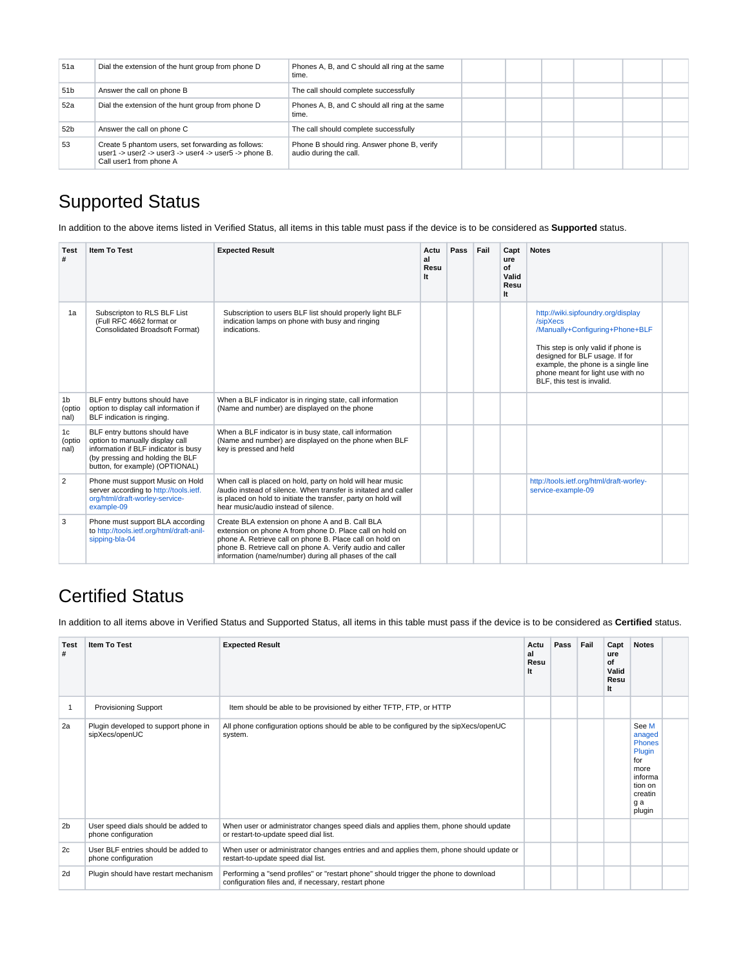| 51a             | Dial the extension of the hunt group from phone D                                                                                      | Phones A, B, and C should all ring at the same<br>time.               |  |  |  |
|-----------------|----------------------------------------------------------------------------------------------------------------------------------------|-----------------------------------------------------------------------|--|--|--|
| 51 <sub>b</sub> | Answer the call on phone B                                                                                                             | The call should complete successfully                                 |  |  |  |
| 52a             | Dial the extension of the hunt group from phone D                                                                                      | Phones A, B, and C should all ring at the same<br>time.               |  |  |  |
| 52b             | Answer the call on phone C                                                                                                             | The call should complete successfully                                 |  |  |  |
| 53              | Create 5 phantom users, set forwarding as follows:<br>user1 -> user2 -> user3 -> user4 -> user5 -> phone B.<br>Call user1 from phone A | Phone B should ring. Answer phone B, verify<br>audio during the call. |  |  |  |

# <span id="page-5-0"></span>Supported Status

In addition to the above items listed in Verified Status, all items in this table must pass if the device is to be considered as **Supported** status.

| <b>Test</b><br>#                 | <b>Item To Test</b>                                                                                                                                                             | <b>Expected Result</b>                                                                                                                                                                                                                                                                           | Actu<br>al<br>Resu<br>It | Pass | Fail | Capt<br>ure<br>of<br>Valid<br>Resu<br>It | <b>Notes</b>                                                                                                                                                                                                                                                         |  |
|----------------------------------|---------------------------------------------------------------------------------------------------------------------------------------------------------------------------------|--------------------------------------------------------------------------------------------------------------------------------------------------------------------------------------------------------------------------------------------------------------------------------------------------|--------------------------|------|------|------------------------------------------|----------------------------------------------------------------------------------------------------------------------------------------------------------------------------------------------------------------------------------------------------------------------|--|
| 1a                               | Subscripton to RLS BLF List<br>(Full RFC 4662 format or<br>Consolidated Broadsoft Format)                                                                                       | Subscription to users BLF list should properly light BLF<br>indication lamps on phone with busy and ringing<br>indications.                                                                                                                                                                      |                          |      |      |                                          | http://wiki.sipfoundry.org/display<br>/sipXecs<br>/Manually+Configuring+Phone+BLF<br>This step is only valid if phone is<br>designed for BLF usage. If for<br>example, the phone is a single line<br>phone meant for light use with no<br>BLF, this test is invalid. |  |
| 1 <sub>b</sub><br>(optio<br>nal) | BLF entry buttons should have<br>option to display call information if<br>BLF indication is ringing.                                                                            | When a BLF indicator is in ringing state, call information<br>(Name and number) are displayed on the phone                                                                                                                                                                                       |                          |      |      |                                          |                                                                                                                                                                                                                                                                      |  |
| 1c<br>(optio<br>nal)             | BLF entry buttons should have<br>option to manually display call<br>information if BLF indicator is busy<br>(by pressing and holding the BLF<br>button, for example) (OPTIONAL) | When a BLF indicator is in busy state, call information<br>(Name and number) are displayed on the phone when BLF<br>key is pressed and held                                                                                                                                                      |                          |      |      |                                          |                                                                                                                                                                                                                                                                      |  |
| 2                                | Phone must support Music on Hold<br>server according to http://tools.ietf.<br>org/html/draft-worley-service-<br>example-09                                                      | When call is placed on hold, party on hold will hear music<br>/audio instead of silence. When transfer is initated and caller<br>is placed on hold to initiate the transfer, party on hold will<br>hear music/audio instead of silence.                                                          |                          |      |      |                                          | http://tools.ietf.org/html/draft-worley-<br>service-example-09                                                                                                                                                                                                       |  |
| 3                                | Phone must support BLA according<br>to http://tools.ietf.org/html/draft-anil-<br>sipping-bla-04                                                                                 | Create BLA extension on phone A and B. Call BLA<br>extension on phone A from phone D. Place call on hold on<br>phone A. Retrieve call on phone B. Place call on hold on<br>phone B. Retrieve call on phone A. Verify audio and caller<br>information (name/number) during all phases of the call |                          |      |      |                                          |                                                                                                                                                                                                                                                                      |  |

### <span id="page-5-1"></span>Certified Status

In addition to all items above in Verified Status and Supported Status, all items in this table must pass if the device is to be considered as **Certified** status.

| <b>Test</b><br># | Item To Test                                               | <b>Expected Result</b>                                                                                                                       | Actu<br>al<br>Resu<br>It | Pass | Fail | Capt<br>ure<br>of<br>Valid<br>Resu<br>It | <b>Notes</b>                                                                                                |  |
|------------------|------------------------------------------------------------|----------------------------------------------------------------------------------------------------------------------------------------------|--------------------------|------|------|------------------------------------------|-------------------------------------------------------------------------------------------------------------|--|
|                  | <b>Provisioning Support</b>                                | Item should be able to be provisioned by either TFTP, FTP, or HTTP                                                                           |                          |      |      |                                          |                                                                                                             |  |
| 2a               | Plugin developed to support phone in<br>sipXecs/openUC     | All phone configuration options should be able to be configured by the sipXecs/openUC<br>system.                                             |                          |      |      |                                          | See M<br>anaged<br><b>Phones</b><br>Plugin<br>for<br>more<br>informa<br>tion on<br>creatin<br>g a<br>plugin |  |
| 2 <sub>b</sub>   | User speed dials should be added to<br>phone configuration | When user or administrator changes speed dials and applies them, phone should update<br>or restart-to-update speed dial list.                |                          |      |      |                                          |                                                                                                             |  |
| 2c               | User BLF entries should be added to<br>phone configuration | When user or administrator changes entries and and applies them, phone should update or<br>restart-to-update speed dial list.                |                          |      |      |                                          |                                                                                                             |  |
| 2d               | Plugin should have restart mechanism                       | Performing a "send profiles" or "restart phone" should trigger the phone to download<br>configuration files and, if necessary, restart phone |                          |      |      |                                          |                                                                                                             |  |